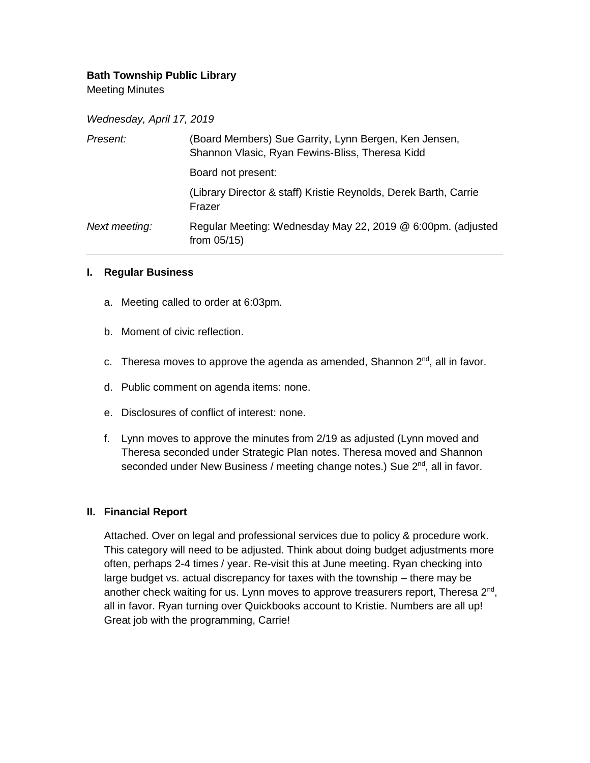## **Bath Township Public Library**

Meeting Minutes

*Wednesday, April 17, 2019*

| Present:      | (Board Members) Sue Garrity, Lynn Bergen, Ken Jensen,<br>Shannon Vlasic, Ryan Fewins-Bliss, Theresa Kidd |
|---------------|----------------------------------------------------------------------------------------------------------|
|               | Board not present:                                                                                       |
|               | (Library Director & staff) Kristie Reynolds, Derek Barth, Carrie<br>Frazer                               |
| Next meeting: | Regular Meeting: Wednesday May 22, 2019 @ 6:00pm. (adjusted<br>from $05/15$ )                            |

#### **I. Regular Business**

- a. Meeting called to order at 6:03pm.
- b. Moment of civic reflection.
- c. Theresa moves to approve the agenda as amended, Shannon  $2<sup>nd</sup>$ , all in favor.
- d. Public comment on agenda items: none.
- e. Disclosures of conflict of interest: none.
- f. Lynn moves to approve the minutes from 2/19 as adjusted (Lynn moved and Theresa seconded under Strategic Plan notes. Theresa moved and Shannon seconded under New Business / meeting change notes.) Sue 2<sup>nd</sup>, all in favor.

#### **II. Financial Report**

Attached. Over on legal and professional services due to policy & procedure work. This category will need to be adjusted. Think about doing budget adjustments more often, perhaps 2-4 times / year. Re-visit this at June meeting. Ryan checking into large budget vs. actual discrepancy for taxes with the township – there may be another check waiting for us. Lynn moves to approve treasurers report, Theresa 2<sup>nd</sup>, all in favor. Ryan turning over Quickbooks account to Kristie. Numbers are all up! Great job with the programming, Carrie!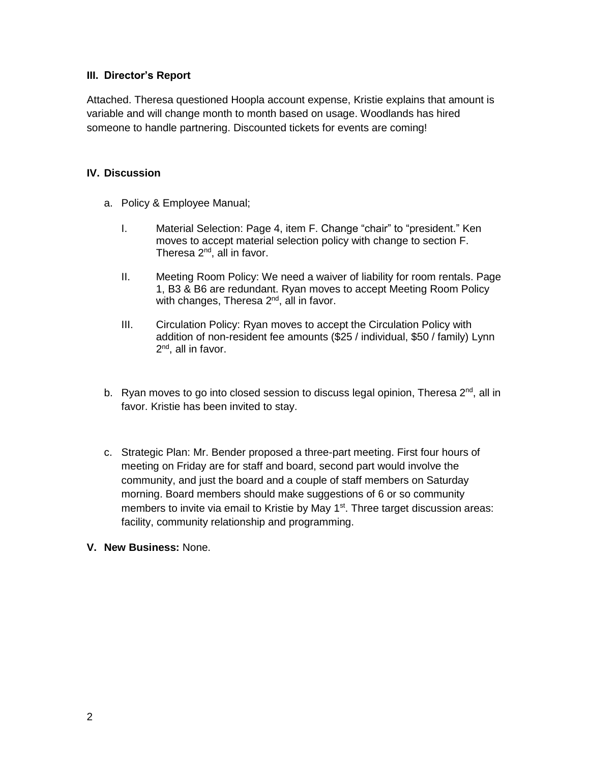## **III. Director's Report**

Attached. Theresa questioned Hoopla account expense, Kristie explains that amount is variable and will change month to month based on usage. Woodlands has hired someone to handle partnering. Discounted tickets for events are coming!

### **IV. Discussion**

- a. Policy & Employee Manual;
	- I. Material Selection: Page 4, item F. Change "chair" to "president." Ken moves to accept material selection policy with change to section F. Theresa 2nd, all in favor.
	- II. Meeting Room Policy: We need a waiver of liability for room rentals. Page 1, B3 & B6 are redundant. Ryan moves to accept Meeting Room Policy with changes, Theresa 2<sup>nd</sup>, all in favor.
	- III. Circulation Policy: Ryan moves to accept the Circulation Policy with addition of non-resident fee amounts (\$25 / individual, \$50 / family) Lynn 2<sup>nd</sup>, all in favor.
- b. Ryan moves to go into closed session to discuss legal opinion, Theresa  $2<sup>nd</sup>$ , all in favor. Kristie has been invited to stay.
- c. Strategic Plan: Mr. Bender proposed a three-part meeting. First four hours of meeting on Friday are for staff and board, second part would involve the community, and just the board and a couple of staff members on Saturday morning. Board members should make suggestions of 6 or so community members to invite via email to Kristie by May 1<sup>st</sup>. Three target discussion areas: facility, community relationship and programming.
- **V. New Business:** None.